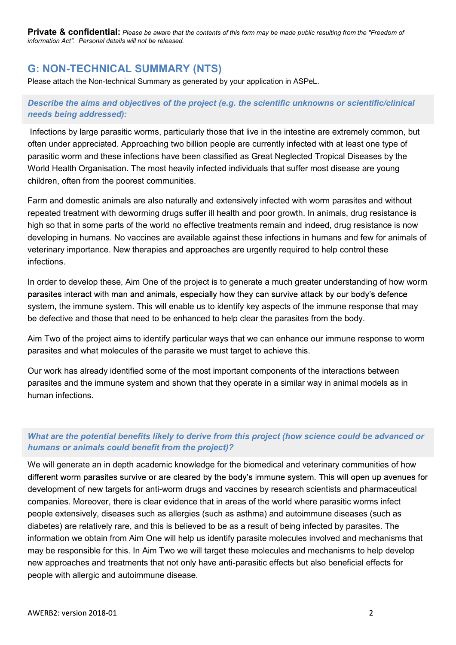Private & confidential: Please be aware that the contents of this form may be made public resulting from the "Freedom of information Act". Personal details will not be released.

# G: NON-TECHNICAL SUMMARY (NTS)

Please attach the Non-technical Summary as generated by your application in ASPeL.

# Describe the aims and objectives of the project (e.g. the scientific unknowns or scientific/clinical needs being addressed):

Infections by large parasitic worms, particularly those that live in the intestine are extremely common, but often under appreciated. Approaching two billion people are currently infected with at least one type of parasitic worm and these infections have been classified as Great Neglected Tropical Diseases by the World Health Organisation. The most heavily infected individuals that suffer most disease are young children, often from the poorest communities.

Farm and domestic animals are also naturally and extensively infected with worm parasites and without repeated treatment with deworming drugs suffer ill health and poor growth. In animals, drug resistance is high so that in some parts of the world no effective treatments remain and indeed, drug resistance is now developing in humans. No vaccines are available against these infections in humans and few for animals of veterinary importance. New therapies and approaches are urgently required to help control these infections.

In order to develop these, Aim One of the project is to generate a much greater understanding of how worm parasites interact with man and animals, especially how they can survive attack by our body's defence system, the immune system. This will enable us to identify key aspects of the immune response that may be defective and those that need to be enhanced to help clear the parasites from the body.

Aim Two of the project aims to identify particular ways that we can enhance our immune response to worm parasites and what molecules of the parasite we must target to achieve this.

Our work has already identified some of the most important components of the interactions between parasites and the immune system and shown that they operate in a similar way in animal models as in human infections.

# What are the potential benefits likely to derive from this project (how science could be advanced or humans or animals could benefit from the project)?

We will generate an in depth academic knowledge for the biomedical and veterinary communities of how different worm parasites survive or are cleared by the body's immune system. This will open up avenues for development of new targets for anti-worm drugs and vaccines by research scientists and pharmaceutical companies. Moreover, there is clear evidence that in areas of the world where parasitic worms infect people extensively, diseases such as allergies (such as asthma) and autoimmune diseases (such as diabetes) are relatively rare, and this is believed to be as a result of being infected by parasites. The information we obtain from Aim One will help us identify parasite molecules involved and mechanisms that may be responsible for this. In Aim Two we will target these molecules and mechanisms to help develop new approaches and treatments that not only have anti-parasitic effects but also beneficial effects for people with allergic and autoimmune disease.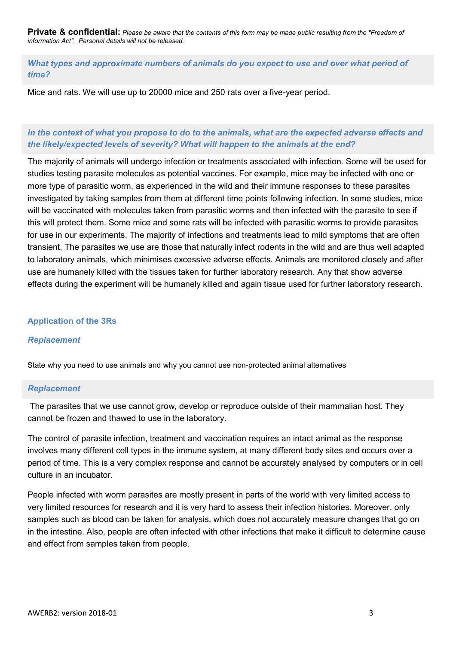Private & confidential: Please be aware that the contents of this form may be made public resulting from the "Freedom of information Act". Personal details will not be released.

What types and approximate numbers of animals do you expect to use and over what period of time?

Mice and rats. We will use up to 20000 mice and 250 rats over a five-year period.

# In the context of what you propose to do to the animals, what are the expected adverse effects and the likely/expected levels of severity? What will happen to the animals at the end?

The majority of animals will undergo infection or treatments associated with infection. Some will be used for studies testing parasite molecules as potential vaccines. For example, mice may be infected with one or more type of parasitic worm, as experienced in the wild and their immune responses to these parasites investigated by taking samples from them at different time points following infection. In some studies, mice will be vaccinated with molecules taken from parasitic worms and then infected with the parasite to see if this will protect them. Some mice and some rats will be infected with parasitic worms to provide parasites for use in our experiments. The majority of infections and treatments lead to mild symptoms that are often transient. The parasites we use are those that naturally infect rodents in the wild and are thus well adapted to laboratory animals, which minimises excessive adverse effects. Animals are monitored closely and after use are humanely killed with the tissues taken for further laboratory research. Any that show adverse effects during the experiment will be humanely killed and again tissue used for further laboratory research.

### Application of the 3Rs

## Replacement

State why you need to use animals and why you cannot use non-protected animal alternatives

#### Replacement

The parasites that we use cannot grow, develop or reproduce outside of their mammalian host. They cannot be frozen and thawed to use in the laboratory.

The control of parasite infection, treatment and vaccination requires an intact animal as the response involves many different cell types in the immune system, at many different body sites and occurs over a period of time. This is a very complex response and cannot be accurately analysed by computers or in cell culture in an incubator.

People infected with worm parasites are mostly present in parts of the world with very limited access to very limited resources for research and it is very hard to assess their infection histories. Moreover, only samples such as blood can be taken for analysis, which does not accurately measure changes that go on in the intestine. Also, people are often infected with other infections that make it difficult to determine cause and effect from samples taken from people.